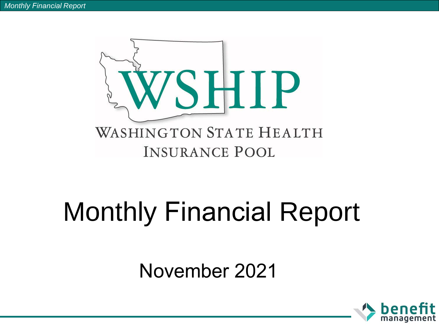

# Monthly Financial Report

## November 2021

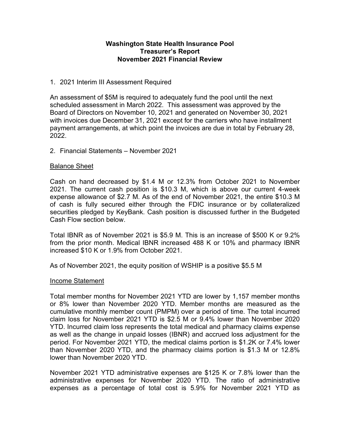## **Washington State Health Insurance Pool Treasurer's Report November 2021 Financial Review**

## 1. 2021 Interim III Assessment Required

An assessment of \$5M is required to adequately fund the pool until the next scheduled assessment in March 2022. This assessment was approved by the Board of Directors on November 10, 2021 and generated on November 30, 2021 with invoices due December 31, 2021 except for the carriers who have installment payment arrangements, at which point the invoices are due in total by February 28, 2022.

#### 2. Financial Statements – November 2021

#### Balance Sheet

Cash on hand decreased by \$1.4 M or 12.3% from October 2021 to November 2021. The current cash position is \$10.3 M, which is above our current 4-week expense allowance of \$2.7 M. As of the end of November 2021, the entire \$10.3 M of cash is fully secured either through the FDIC insurance or by collateralized securities pledged by KeyBank. Cash position is discussed further in the Budgeted Cash Flow section below.

Total IBNR as of November 2021 is \$5.9 M. This is an increase of \$500 K or 9.2% from the prior month. Medical IBNR increased 488 K or 10% and pharmacy IBNR increased \$10 K or 1.9% from October 2021.

As of November 2021, the equity position of WSHIP is a positive \$5.5 M

#### Income Statement

Total member months for November 2021 YTD are lower by 1,157 member months or 8% lower than November 2020 YTD. Member months are measured as the cumulative monthly member count (PMPM) over a period of time. The total incurred claim loss for November 2021 YTD is \$2.5 M or 9.4% lower than November 2020 YTD. Incurred claim loss represents the total medical and pharmacy claims expense as well as the change in unpaid losses (IBNR) and accrued loss adjustment for the period. For November 2021 YTD, the medical claims portion is \$1.2K or 7.4% lower than November 2020 YTD, and the pharmacy claims portion is \$1.3 M or 12.8% lower than November 2020 YTD.

November 2021 YTD administrative expenses are \$125 K or 7.8% lower than the administrative expenses for November 2020 YTD. The ratio of administrative expenses as a percentage of total cost is 5.9% for November 2021 YTD as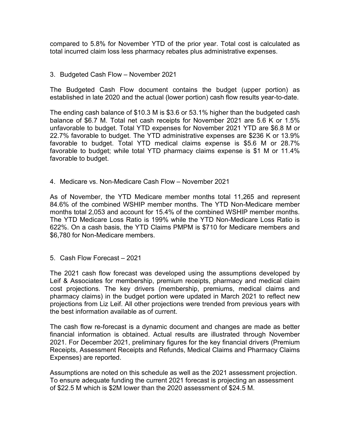compared to 5.8% for November YTD of the prior year. Total cost is calculated as total incurred claim loss less pharmacy rebates plus administrative expenses.

#### 3. Budgeted Cash Flow – November 2021

The Budgeted Cash Flow document contains the budget (upper portion) as established in late 2020 and the actual (lower portion) cash flow results year-to-date.

The ending cash balance of \$10.3 M is \$3.6 or 53.1% higher than the budgeted cash balance of \$6.7 M. Total net cash receipts for November 2021 are 5.6 K or 1.5% unfavorable to budget. Total YTD expenses for November 2021 YTD are \$6.8 M or 22.7% favorable to budget. The YTD administrative expenses are \$236 K or 13.9% favorable to budget. Total YTD medical claims expense is \$5.6 M or 28.7% favorable to budget; while total YTD pharmacy claims expense is \$1 M or 11.4% favorable to budget.

4. Medicare vs. Non-Medicare Cash Flow – November 2021

As of November, the YTD Medicare member months total 11,265 and represent 84.6% of the combined WSHIP member months. The YTD Non-Medicare member months total 2,053 and account for 15.4% of the combined WSHIP member months. The YTD Medicare Loss Ratio is 199% while the YTD Non-Medicare Loss Ratio is 622%. On a cash basis, the YTD Claims PMPM is \$710 for Medicare members and \$6,780 for Non-Medicare members.

5. Cash Flow Forecast – 2021

The 2021 cash flow forecast was developed using the assumptions developed by Leif & Associates for membership, premium receipts, pharmacy and medical claim cost projections. The key drivers (membership, premiums, medical claims and pharmacy claims) in the budget portion were updated in March 2021 to reflect new projections from Liz Leif. All other projections were trended from previous years with the best information available as of current.

The cash flow re-forecast is a dynamic document and changes are made as better financial information is obtained. Actual results are illustrated through November 2021. For December 2021, preliminary figures for the key financial drivers (Premium Receipts, Assessment Receipts and Refunds, Medical Claims and Pharmacy Claims Expenses) are reported.

Assumptions are noted on this schedule as well as the 2021 assessment projection. To ensure adequate funding the current 2021 forecast is projecting an assessment of \$22.5 M which is \$2M lower than the 2020 assessment of \$24.5 M.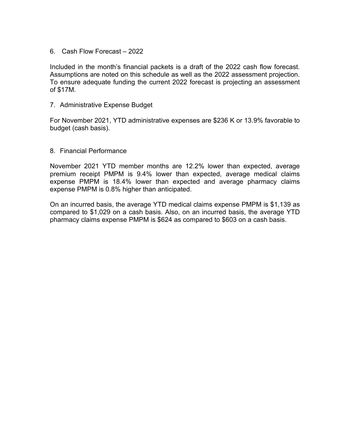6. Cash Flow Forecast – 2022

Included in the month's financial packets is a draft of the 2022 cash flow forecast. Assumptions are noted on this schedule as well as the 2022 assessment projection. To ensure adequate funding the current 2022 forecast is projecting an assessment of \$17M.

7. Administrative Expense Budget

For November 2021, YTD administrative expenses are \$236 K or 13.9% favorable to budget (cash basis).

#### 8. Financial Performance

November 2021 YTD member months are 12.2% lower than expected, average premium receipt PMPM is 9.4% lower than expected, average medical claims expense PMPM is 18.4% lower than expected and average pharmacy claims expense PMPM is 0.8% higher than anticipated.

On an incurred basis, the average YTD medical claims expense PMPM is \$1,139 as compared to \$1,029 on a cash basis. Also, on an incurred basis, the average YTD pharmacy claims expense PMPM is \$624 as compared to \$603 on a cash basis.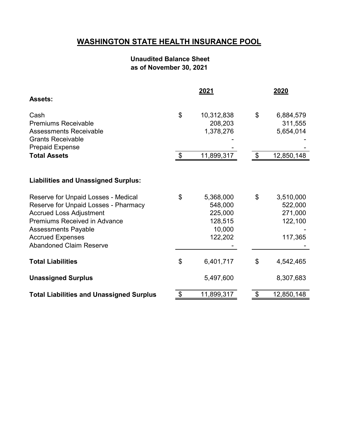## **WASHINGTON STATE HEALTH INSURANCE POOL**

## **Unaudited Balance Sheet as of November 30, 2021**

|                                                                                                                                                      |                         | 2021                                       | 2020                                             |
|------------------------------------------------------------------------------------------------------------------------------------------------------|-------------------------|--------------------------------------------|--------------------------------------------------|
| <b>Assets:</b>                                                                                                                                       |                         |                                            |                                                  |
| Cash<br><b>Premiums Receivable</b>                                                                                                                   | \$                      | 10,312,838<br>208,203                      | \$<br>6,884,579<br>311,555                       |
| <b>Assessments Receivable</b><br><b>Grants Receivable</b><br><b>Prepaid Expense</b>                                                                  |                         | 1,378,276                                  | 5,654,014                                        |
| <b>Total Assets</b>                                                                                                                                  | $\sqrt[6]{\frac{1}{2}}$ | 11,899,317                                 | \$<br>12,850,148                                 |
| <b>Liabilities and Unassigned Surplus:</b>                                                                                                           |                         |                                            |                                                  |
| Reserve for Unpaid Losses - Medical<br>Reserve for Unpaid Losses - Pharmacy<br><b>Accrued Loss Adjustment</b><br><b>Premiums Received in Advance</b> | \$                      | 5,368,000<br>548,000<br>225,000<br>128,515 | \$<br>3,510,000<br>522,000<br>271,000<br>122,100 |
| <b>Assessments Payable</b><br><b>Accrued Expenses</b><br><b>Abandoned Claim Reserve</b>                                                              |                         | 10,000<br>122,202                          | 117,365                                          |
| <b>Total Liabilities</b>                                                                                                                             | \$                      | 6,401,717                                  | \$<br>4,542,465                                  |
| <b>Unassigned Surplus</b>                                                                                                                            |                         | 5,497,600                                  | 8,307,683                                        |
| <b>Total Liabilities and Unassigned Surplus</b>                                                                                                      | \$                      | 11,899,317                                 | \$<br>12,850,148                                 |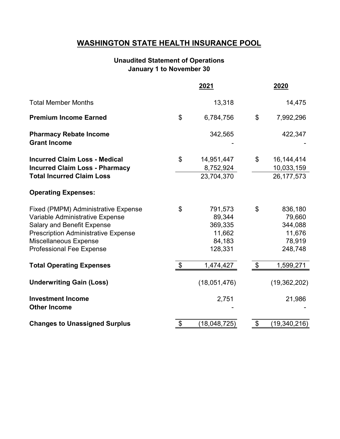## **WASHINGTON STATE HEALTH INSURANCE POOL**

## **January 1 to November 30 Unaudited Statement of Operations**

|                                                                                                                                                                                                                              |                            | <u> 2021</u>                                                |                           | <u> 2020</u>                                                |
|------------------------------------------------------------------------------------------------------------------------------------------------------------------------------------------------------------------------------|----------------------------|-------------------------------------------------------------|---------------------------|-------------------------------------------------------------|
| <b>Total Member Months</b>                                                                                                                                                                                                   |                            | 13,318                                                      |                           | 14,475                                                      |
| <b>Premium Income Earned</b>                                                                                                                                                                                                 | \$                         | 6,784,756                                                   | $\boldsymbol{\mathsf{S}}$ | 7,992,296                                                   |
| <b>Pharmacy Rebate Income</b><br><b>Grant Income</b>                                                                                                                                                                         |                            | 342,565                                                     |                           | 422,347                                                     |
| <b>Incurred Claim Loss - Medical</b><br><b>Incurred Claim Loss - Pharmacy</b>                                                                                                                                                | $\mathfrak{S}$             | 14,951,447<br>8,752,924                                     | \$                        | 16, 144, 414<br>10,033,159                                  |
| <b>Total Incurred Claim Loss</b>                                                                                                                                                                                             |                            | 23,704,370                                                  |                           | 26, 177, 573                                                |
| <b>Operating Expenses:</b>                                                                                                                                                                                                   |                            |                                                             |                           |                                                             |
| <b>Fixed (PMPM) Administrative Expense</b><br>Variable Administrative Expense<br><b>Salary and Benefit Expense</b><br><b>Prescription Administrative Expense</b><br>Miscellaneous Expense<br><b>Professional Fee Expense</b> | \$                         | 791,573<br>89,344<br>369,335<br>11,662<br>84,183<br>128,331 | \$                        | 836,180<br>79,660<br>344,088<br>11,676<br>78,919<br>248,748 |
| <b>Total Operating Expenses</b>                                                                                                                                                                                              | \$                         | 1,474,427                                                   |                           | 1,599,271                                                   |
| <b>Underwriting Gain (Loss)</b>                                                                                                                                                                                              |                            | (18,051,476)                                                |                           | (19, 362, 202)                                              |
| <b>Investment Income</b><br><b>Other Income</b>                                                                                                                                                                              |                            | 2,751                                                       |                           | 21,986                                                      |
| <b>Changes to Unassigned Surplus</b>                                                                                                                                                                                         | $\boldsymbol{\mathsf{\$}}$ | (18, 048, 725)                                              | \$                        | (19, 340, 216)                                              |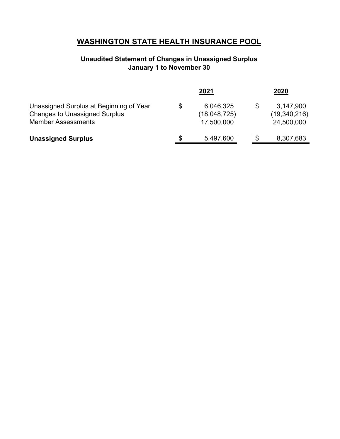## **WASHINGTON STATE HEALTH INSURANCE POOL**

## **Unaudited Statement of Changes in Unassigned Surplus January 1 to November 30**

|                                                                                                              | 2021                                          | 2020                                          |
|--------------------------------------------------------------------------------------------------------------|-----------------------------------------------|-----------------------------------------------|
| Unassigned Surplus at Beginning of Year<br><b>Changes to Unassigned Surplus</b><br><b>Member Assessments</b> | \$<br>6,046,325<br>(18,048,725)<br>17,500,000 | \$<br>3,147,900<br>(19,340,216)<br>24,500,000 |
| <b>Unassigned Surplus</b>                                                                                    | 5,497,600                                     | 8,307,683                                     |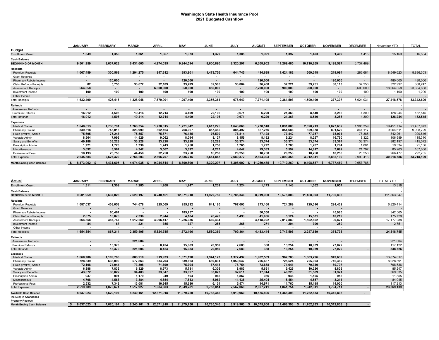#### **Washington State Health Insurance Pool 2021 Budgeted Cashflow**

|                                  | <b>JANUARY</b>           | <b>FEBRUARY</b> | <b>MARCH</b>   | <b>APRIL</b>             | <b>MAY</b>               | <b>JUNE</b>              | <b>JULY</b>              | <b>AUGUST</b>            | <b>SEPTEMBER</b>         | <b>OCTOBER</b>           | <b>NOVEMBER</b>          | <b>DECEMBER</b>          | November YTD | <b>TOTAL</b> |
|----------------------------------|--------------------------|-----------------|----------------|--------------------------|--------------------------|--------------------------|--------------------------|--------------------------|--------------------------|--------------------------|--------------------------|--------------------------|--------------|--------------|
| <b>Budget</b>                    |                          |                 |                |                          |                          |                          |                          |                          |                          |                          |                          |                          |              |              |
| <b>Enrollment Count</b>          | 1,349                    | 1,355           | 1,361          | 1,367                    | 1,373                    | 1,379                    | 1,385                    | 1,391                    | 1,397                    | 1,403                    | 1.409                    | 1,415                    | 15,169       | 16,584       |
| <b>Cash Balance</b>              |                          |                 |                |                          |                          |                          |                          |                          |                          |                          |                          |                          |              |              |
| <b>BEGINNING OF MONTH</b>        | 9,501,959                | 8,637,023       | 6.431.605      | 4,974,035                | 9.944.514                | 8.600.890                | 8,320,297                | 6,308,902                | 11,269,485               | 10.710.269               | 9,198,587                | 6,737,469                |              |              |
| <b>Receipts</b>                  |                          |                 |                |                          |                          |                          |                          |                          |                          |                          |                          |                          |              |              |
| <b>Premium Receipts</b>          | 1,067,459                | 300,563         | 1.294.275      | 847.612                  | 293.901                  | 1,473,756                | 644.745                  | 414.688                  | 1.424.182                | 569.348                  | 219.094                  | 286,681                  | 8,549,623    | 8,836,303    |
| <b>Grant Revenue</b>             |                          |                 |                | $\overline{\phantom{a}}$ | $\overline{\phantom{a}}$ |                          | $\overline{\phantom{a}}$ |                          |                          | $\overline{\phantom{a}}$ |                          |                          |              |              |
| Pharmacy Rebate Income           | $\sim$                   | 120,000         | $\blacksquare$ | $\blacksquare$           | 120,000                  | $\overline{\phantom{a}}$ | $\sim$                   | 120,000                  | $\overline{\phantom{a}}$ | $\blacksquare$           | 120,000                  | $\overline{\phantom{a}}$ | 480,000      | 480,000      |
| <b>Claim Refunds Receipts</b>    | 82                       | 5,755           | 33,672         | 32,189                   | 33.499                   | 32.505                   | 33.804                   | 36.408                   | 37.221                   | 39.751                   | 38,113                   | 37,250                   | 322,997      | 360,247      |
| <b>Assessment Receipts</b>       | 564,858                  | $\sim$          | $\sim$         | 6.800.000                | 850.000                  | 850,000                  | $\sim$                   | 7,200,000                | 900.000                  | 900.000                  | $\sim$                   | 5,600,000                | 18,064,858   | 23,664,858   |
| Investment Income                | 100                      | 100             | 100            | 100                      | 100                      | 100                      | 100                      | 100                      | 100                      | 100                      | 100                      | 100                      | 1,100        | 1,200        |
| Other Income                     | $\overline{\phantom{a}}$ |                 | $\sim$         | $\overline{\phantom{a}}$ | $\blacksquare$           | $\overline{\phantom{a}}$ | $\sim$                   | $\overline{\phantom{a}}$ | $\overline{\phantom{a}}$ | $\overline{\phantom{a}}$ | $\overline{\phantom{a}}$ | $\overline{\phantom{a}}$ |              |              |
| <b>Total Receipts</b>            | 1,632,499                | 426,418         | 1,328,046      | 7,679,901                | 1,297,499                | 2,356,361                | 678,649                  | 7,771,195                | 2,361,503                | 1,509,199                | 377,307                  | 5,924,031                | 27,418,578   | 33,342,609   |
| <b>Refunds</b>                   |                          |                 |                |                          |                          |                          |                          |                          |                          |                          |                          |                          |              |              |
| <b>Assessment Refunds</b>        | $\overline{\phantom{a}}$ | $\blacksquare$  | $\blacksquare$ | $\overline{\phantom{a}}$ | $\overline{\phantom{a}}$ | $\overline{\phantom{a}}$ | $\sim$                   | $\blacksquare$           | $\overline{\phantom{a}}$ | $\overline{\phantom{a}}$ | $\sim$                   | $\sim$                   |              | $\sim$       |
| <b>Premium Refunds</b>           | 16,012                   | 4.508           | 19,414         | 12,714                   | 4.409                    | 22,106                   | 9.671                    | 6.220                    | 21,363                   | 8.540                    | 3.286                    | 4.300                    | 128.244      | 132,545      |
| <b>Total Refunds</b>             | 16,012                   | 4,508           | 19,414         | 12,714                   | 4,409                    | 22,106                   | 9,671                    | 6,220                    | 21,363                   | 8,540                    | 3,286                    | 4,300                    | 128,244      | 132,545      |
| <b>Expenses</b>                  |                          |                 |                |                          |                          |                          |                          |                          |                          |                          |                          |                          |              |              |
| <b>Medical Claims</b>            | 1,648,813                | 1,736,791       | 1,768,354      | 1,738,815                | 1,721,942                | 1,617,275                | 1,643,868                | 1,778,510                | 1,891,000                | 2,028,713                | 1,877,632                | 1,985,359                | 19,451,714   | 21,437,073   |
| <b>Pharmacy Claims</b>           | 839,518                  | 745.018         | 823.999        | 802,164                  | 768.067                  | 857.485                  | 885,492                  | 857.276                  | 854.686                  | 829.378                  | 801.529                  | 844,117                  | 9,064,611    | 9,908,729    |
| Fixed (PMPM) Admin               | 75,695                   | 75,243          | 75.557         | 75.871                   | 76.185                   | 76,500                   | 76.814                   | 77.128                   | 77.442                   | 77.757                   | 78.071                   | 78,385                   | 842,261      | 920,646      |
| Variable Admin                   | 8,564                    | 7,996           | 14,529         | 9.062                    | 8,094                    | 8,127                    | 8.159                    | 8.192                    | 9.224                    | 8.257                    | 16.790                   | 8,322                    | 106,989      | 115,310      |
| Salary and Benefits              | 49,188                   | 33,228          | 33.228         | 33,228                   | 33,228                   | 33,228                   | 33.374                   | 33.374                   | 33,374                   | 33,374                   | 33,374                   | 33,374                   | 382,197      | 415,572      |
| <b>Prescription Admin</b>        | 1,721                    | 1,728           | 1.736          | 1.743                    | 1,750                    | 1,758                    | 1.765                    | 1.772                    | 1.780                    | 1.787                    | 1.794                    | 1,801                    | 19,334       | 21,136       |
| Miscellaneous                    | 3.692                    | 3.567           | 4.342          | 3.567                    | 3.692                    | 4.217                    | 4.642                    | 29,383                   | 5.592                    | 14.817                   | 7.692                    | 21,797                   | 85,203       | 107,000      |
| <b>Professional Fees</b>         | 18,193                   | 23,758          | 44,458         | 32.258                   | 23.758                   | 16,258                   | 26,258                   | 18,758                   | 26.258                   | 18,258                   | 18.258                   | 26,258                   | 266,477      | 292,735      |
| <b>Total Expense</b>             | 2,645,384                | 2,627,329       | 2,766,203      | 2,696,707                | 2,636,715                | 2,614,847                | 2,680,372                | 2,804,393                | 2,899,356                | 3,012,341                | 2,835,139                | 2,999,413                | 30,218,786   | 33,218,199   |
| <b>Month Ending Cash Balance</b> | 8,473,062                | 6.431.605       | 4.974.035      | 9,944,514                | 8.600.890                | 8.320.297                | 6.308.902                | 11.269.485               | 10.710.269               | 9.198.587                | 6.737.469                | 9.657.786                |              |              |

| Actual                                           | <b>JANUARY</b>           | <b>FEBRUARY</b>          | <b>MARCH</b>             | <b>APRIL</b> | <b>MAY</b>     | <b>JUNE</b> | <b>JULY</b>              | <b>AUGUST</b>  | <b>SEPTEMBER</b>         | <b>OCTOBER</b> | <b>NOVEMBER</b> | <b>DECEMBER</b> | <b>TOTAL YTD</b> |
|--------------------------------------------------|--------------------------|--------------------------|--------------------------|--------------|----------------|-------------|--------------------------|----------------|--------------------------|----------------|-----------------|-----------------|------------------|
| <b>Enrollment Count</b>                          | 1,311                    | 1,309                    | 1,285                    | 1.268        | 1,247          | 1,239       | 1,224                    | 1,173          | 1.143                    | 1,062          | 1,057           |                 | 13,318           |
| <b>Cash Balance</b>                              |                          |                          |                          |              |                |             |                          |                |                          |                |                 |                 |                  |
| <b>BEGINNING OF MONTH</b>                        | 9,501,959                | 8,637,023                | 7,620,197                | 8,240,161    | 12,371,918     | 11,979,750  | 10,785,346               | 8,919,960      | 10,575,806               | 11,468,393     | 11,762,833      |                 | 111,863,347      |
| <b>Receipts</b>                                  |                          |                          |                          |              |                |             |                          |                |                          |                |                 |                 |                  |
| <b>Premium Receipts</b>                          | 1,087,037                | 408,058                  | 744.678                  | 825.069      | 255,892        | 841,180     | 707,603                  | 273,160        | 724.289                  | 729.016        | 224,432         |                 | 6,820,414        |
| <b>Grant Revenue</b>                             | $\blacksquare$           |                          | $\blacksquare$           |              |                |             |                          |                |                          | $\blacksquare$ |                 |                 |                  |
| Pharmacy Rebate Income                           |                          | 60.467                   |                          |              | 185.757        |             |                          | 50.356         | $\overline{\phantom{a}}$ |                | 45.985          |                 | 342,565          |
| <b>Claim Refunds Receipts</b>                    | 2.875                    | 10.876                   | 2,336                    | 2.944        | 4.184          | 78.470      | 1.493                    | 41.636         | 5.124                    | 15,571         | 10,219          |                 | 175,728          |
| <b>Assessment Receipts</b>                       | 564,858                  | 387,747                  | 1,612,260                | 4,996,417    | 1,226,036      | 660,434     | $\overline{\phantom{a}}$ | 4,118,022      | 2.017.889                | ,502,802       | 90,821          |                 | 17, 177, 288     |
| Investment Income                                | 84                       | 67                       | 221                      | 355          | 327            | 285         | 268                      | 271            | 294                      | 300            | 280             |                 | 2,751            |
| Other Income                                     |                          |                          | $\overline{\phantom{a}}$ |              |                |             | $\overline{\phantom{a}}$ |                | $\overline{\phantom{a}}$ |                |                 |                 |                  |
| <b>Total Receipts</b>                            | 1,654,854                | 867,214                  | 2.359.495                | 5,824,785    | 1,672,196      | 1,580,369   | 709,364                  | 4,483,444      | 2.747.596                | 2,247,689      | 371,738         |                 | 24,518,745       |
| <b>Refunds</b>                                   |                          |                          |                          |              |                |             |                          |                |                          |                |                 |                 |                  |
| <b>Assessment Refunds</b>                        | $\sim$                   | $\overline{\phantom{a}}$ | 221,604                  |              | $\blacksquare$ |             | $\overline{\phantom{a}}$ | $\blacksquare$ | $\overline{\phantom{a}}$ | $\blacksquare$ |                 |                 | 221,604          |
| Premium Refunds                                  | $\overline{\phantom{a}}$ | 13,370                   |                          | 8,424        | 15,083         | 20,959      | 7.683                    | 388            | 13.254                   | 10,939         | 27.022          |                 | 117,122          |
| <b>Total Refunds</b>                             | ۰.                       | 13,370                   | 221.604                  | 8.424        | 15,083         | 20.959      | 7,683                    | 388            | 13.254                   | 10.939         | 27.022          |                 | 338,726          |
| <b>Expenses</b>                                  |                          |                          |                          |              |                |             |                          |                |                          |                |                 |                 |                  |
| <b>Medical Claims</b>                            | 1,660,706                | 1,109,788                | 808,210                  | 919,933      | 1,071,198      | 1,944,177   | 1,377,497                | 1,982,589      | 967,783                  | 1,083,296      | 949,639         |                 | 13,874,817       |
| <b>Pharmacy Claims</b>                           | 728,839                  | 633,090                  | 577,863                  | 634,203      | 839,623        | 689,831     | 1,050,647                | 706,687        | 725,524                  | 725,903        | 716,382         |                 | 8,028,591        |
| Fixed (PMPM) Admin                               | 72.108                   | 74.044                   | 73.398                   | 71.699       | 75.704         | 67.413      | 78.754                   | 73.638         | 71.641                   | 70.340         | 69,797          |                 | 798,536          |
| Variable Admin                                   | 6.888                    | 7.832                    | 6.329                    | 8.973        | 5.731          | 6.305       | 8.983                    | 5.651          | 9.425                    | 10.326         | 8.805           |                 | 85,247           |
| Salary and Benefits                              | 43,072                   | 33,022                   | 34,483                   | 33.047       | 33,027         | 33,027      | 32,611                   | 17,314         | 46.223                   | 31,589         | 31,921          |                 | 369,335          |
| <b>Prescription Admin</b>                        | 937                      | 991                      | 1.179                    | 949          | 504            | 965         | 1.867                    | 956            | 946                      | 1.105          | 956             |                 | 11,355           |
| Miscellaneous                                    | 4.708                    | 4,563                    | 3,384                    | 4.854        | 7,813          | 5.962       | 11.136                   | 25,404         | 8.454                    | 4.557          | 3.211           |                 | 84,045           |
| Professional Fees                                | 2.532                    | 7.342                    | 13.081                   | 10.945       | 15.680         | 6.134       | 5,574                    | 14.971         | 11.760                   | 15.195         | 14.000          |                 | 117,213          |
| <b>Total Expense</b>                             | 2,519,789                | 1,870,671                | 1,517,927                | 1,684,603    | 2,049,281      | 2,753,814   | 2,567,068                | 2,827,211      | 1,841,754                | 1,942,311      | 1,794,711       |                 | 23,369,139       |
| <b>Available Cash Balance</b>                    | 8.637.023                | 7.620.197                | 8.240.161                | 12.371.918   | 11.979.750     | 10.785.346  | 8,919,960                | 10.575.806     | 11.468.393               | 11.762.833     | 10.312.838      | $\sim$          |                  |
| Inc(Dec) in Abandoned<br><b>Property Reserve</b> |                          |                          |                          |              |                |             |                          |                |                          |                |                 |                 |                  |
| <b>Month Ending Cash Balance</b>                 | 8.637.023                | 7.620.197                | 8.240.161                | 12.371.918   | 11.979.750     | 10.785.346  | 8.919.960                | 10.575.806     | 11.468.393               | 11.762.833     | 10.312.838 \$   |                 |                  |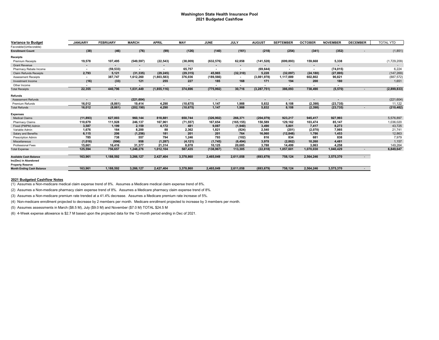#### **Washington State Health Insurance Pool 2021 Budgeted Cashflow**

| <b>Variance to Budget</b>        | <b>JANUARY</b>           | <b>FEBRUARY</b> | <b>MARCH</b>             | <b>APRIL</b>             | <b>MAY</b>     | <b>JUNE</b>              | <b>JULY</b>              | <b>AUGUST</b>            | <b>SEPTEMBER</b>         | <b>OCTOBER</b>           | <b>NOVEMBER</b>          | <b>DECEMBER</b> | <b>TOTAL YTD</b> |
|----------------------------------|--------------------------|-----------------|--------------------------|--------------------------|----------------|--------------------------|--------------------------|--------------------------|--------------------------|--------------------------|--------------------------|-----------------|------------------|
| Favorable/(Unfavorable)          |                          |                 |                          |                          |                |                          |                          |                          |                          |                          |                          |                 |                  |
| <b>Enrollment Count</b>          | (38)                     | (46)            | (76)                     | (99)                     | (126)          | (140)                    | (161)                    | (218)                    | (254)                    | (341)                    | (352)                    |                 | (1,851)          |
| <b>Receipts</b>                  |                          |                 |                          |                          |                |                          |                          |                          |                          |                          |                          |                 |                  |
| <b>Premium Receipts</b>          | 19,578                   | 107,495         | (549, 597)               | (22, 543)                | (38,009)       | (632, 576)               | 62,858                   | (141, 528)               | (699, 893)               | 159,668                  | 5,338                    |                 | (1,729,209)      |
| <b>Grant Revenue</b>             | $\blacksquare$           | $\blacksquare$  | $\blacksquare$           | $\overline{\phantom{a}}$ | $\blacksquare$ | $\overline{\phantom{a}}$ | $\overline{\phantom{a}}$ | $\blacksquare$           | $\blacksquare$           | $\overline{\phantom{a}}$ | $\overline{\phantom{a}}$ |                 | $\sim$           |
| Pharmacy Rebate Income           | $\overline{\phantom{a}}$ | (59, 533)       | $\overline{\phantom{a}}$ | $\overline{\phantom{a}}$ | 65,757         | $\blacksquare$           | $\overline{\phantom{a}}$ | (69, 644)                | $\blacksquare$           | $\overline{\phantom{a}}$ | (74, 015)                |                 | 6,224            |
| <b>Claim Refunds Receipts</b>    | 2,793                    | 5.121           | (31, 335)                | (29, 245)                | (29, 315)      | 45,965                   | (32, 310)                | 5.228                    | (32,097)                 | (24, 180)                | (27, 895)                |                 | (147, 269)       |
| <b>Assessment Receipts</b>       | $\overline{\phantom{a}}$ | 387.747         | 1,612,260                | (1,803,583)              | 376,036        | (189, 566)               | $\overline{\phantom{a}}$ | (3,081,978)              | 1,117,889                | 602,802                  | 90,821                   |                 | (887, 572)       |
| Investment Income                | (16)                     | (33)            | 121                      | 255                      | 227            | 185                      | 168                      | 171                      | 194                      | 200                      | 180                      |                 | 1,651            |
| Other Income                     |                          |                 |                          | $\overline{\phantom{a}}$ |                |                          |                          | $\overline{\phantom{a}}$ | $\overline{\phantom{a}}$ |                          | $\overline{\phantom{a}}$ |                 |                  |
| <b>Total Receipts</b>            | 22,355                   | 440,796         | 1,031,449                | (1,855,116)              | 374,696        | (775, 992)               | 30,716                   | (3, 287, 751)            | 386,093                  | 738,490                  | (5, 570)                 |                 | (2,899,833)      |
| Refunds                          |                          |                 |                          |                          |                |                          |                          |                          |                          |                          |                          |                 |                  |
| <b>Assessment Refunds</b>        | $\overline{\phantom{a}}$ |                 | (221, 604)               | $\sim$                   | $\blacksquare$ | $\blacksquare$           |                          | $\blacksquare$           | $\blacksquare$           | $\overline{\phantom{a}}$ |                          |                 | (221, 604)       |
| Premium Refunds                  | 16,012                   | (8, 861)        | 19.414                   | 4.290                    | (10, 675)      | 1,147                    | 1,988                    | 5,832                    | 8,108                    | (2, 398)                 | (23, 735)                |                 | 11,122           |
| <b>Total Refunds</b>             | 16,012                   | (8, 861)        | (202, 190)               | 4.290                    | (10, 675)      | 1.147                    | 1.988                    | 5,832                    | 8.108                    | (2, 398)                 | (23, 735)                |                 | (210, 482)       |
| <b>Expenses</b>                  |                          |                 |                          |                          |                |                          |                          |                          |                          |                          |                          |                 |                  |
| <b>Medical Claims</b>            | (11, 893)                | 627,003         | 960,144                  | 818,881                  | 650,744        | (326, 902)               | 266,371                  | (204, 079)               | 923,217                  | 945,417                  | 927,993                  |                 | 5,576,897        |
| Pharmacy Claims                  | 110,679                  | 111.928         | 246,137                  | 167,961                  | (71, 557)      | 167,654                  | (165, 155)               | 150,589                  | 129,162                  | 103,474                  | 85,147                   |                 | 1,036,020        |
| Fixed (PMPM) Admin               | 3,587                    | 1,199           | 2,159                    | 4,172                    | 481            | 9,087                    | (1,940)                  | 3,490                    | 5,801                    | 7,417                    | 8,273                    |                 | 43,725           |
| Variable Admin                   | 1,676                    | 164             | 8.200                    | 88                       | 2,362          | 1,821                    | (824)                    | 2,540                    | (201)                    | (2,070)                  | 7,985                    |                 | 21,741           |
| Salary and Benefits              | 6,115                    | 206             | (1, 256)                 | 181                      | 201            | 201                      | 764                      | 16,060                   | (12, 848)                | 1,786                    | 1,453                    |                 | 12,863           |
| <b>Prescription Admin</b>        | 785                      | 738             | 557                      | 794                      | 1.246          | 793                      | (102)                    | 816                      | 834                      | 681                      | 838                      |                 | 7,979            |
| Miscellaneous                    | (1,016)                  | (996)           | 958                      | (1, 287)                 | (4, 121)       | (1,745)                  | (6, 494)                 | 3,978                    | (2,862)                  | 10,260                   | 4,481                    |                 | 1,157            |
| Professional Fees                | 15.661                   | 16,416          | 31,377                   | 21.314                   | 8.078          | 10.125                   | 20,685                   | 3,788                    | 14.499                   | 3,063                    | 4.258                    |                 | 149,264          |
| <b>Total Expense</b>             | 125,594                  | 756.657         | 1,248,276                | 1,012,104                | 587,435        | (138, 967)               | 113,305                  | (22, 818)                | 1,057,601                | 1,070,030                | 1,040,429                |                 | 6,849,647        |
| <b>Available Cash Balance</b>    | 163,961                  | 1,188,592       | 3,266,127                | 2,427,404                | 3,378,860      | 2,465,049                | 2,611,058                | (693, 679)               | 758,124                  | 2,564,246                | 3,575,370                | $\sim$          |                  |
| Inc(Dec) in Abandoned            |                          |                 |                          |                          |                |                          |                          |                          |                          |                          |                          |                 |                  |
| <b>Property Reserve</b>          |                          |                 |                          |                          |                |                          |                          |                          |                          |                          |                          |                 |                  |
| <b>Month Ending Cash Balance</b> | 163,961                  | 1,188,592       | 3,266,127                | 2,427,404                | 3,378,860      | 2,465,049                | 2,611,058                | (693, 679)               | 758,124                  | 2,564,246                | 3,575,370                | $\sim$          |                  |

#### **2021 Budgeted Cashflow Notes**

(1) Assumes a Non-medicare medical claim expense trend of 8%. Assumes a Medicare medical claim expense trend of 8%.

(2) Assumes a Non-medicare pharmacy claim expense trend of 8%. Assumes a Medicare pharmacy claim expense trend of 8%.

(3) Assumes a Non-medicare premium rate trended at a 41.4% decrease. Assumes a Medicare premium rate increase of 5%.

(4) Non-medicare enrollment projected to decrease by 2 members per month. Medicare enrollment projected to increase by 3 members per month.

(5) Assumes assessments in March (\$8.5 M), July (\$9.0 M) and November (\$7.0 M) TOTAL \$24.5 M

(6) 4-Week expense allowance is \$2.7 M based upon the projected data for the 12-month period ending in Dec of 2021.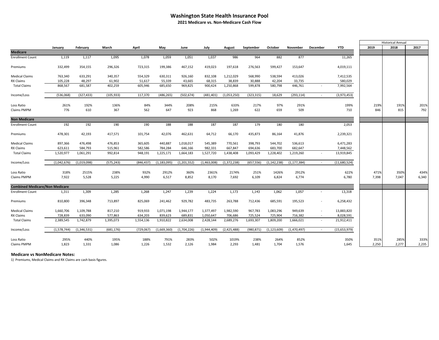#### **Washington State Health Insurance Pool 2021 Medicare vs. Non-Medicare Cash Flow**

|                                       |             |             |            |            |               |             |             |               |            |               |               |          |              |       | <b>Historical Annual</b> |       |
|---------------------------------------|-------------|-------------|------------|------------|---------------|-------------|-------------|---------------|------------|---------------|---------------|----------|--------------|-------|--------------------------|-------|
|                                       | January     | February    | March      | April      | May           | June        | July        | August        | September  | October       | November      | December | <b>YTD</b>   | 2019  | 2018                     | 2017  |
| <b>Medicare</b>                       |             |             |            |            |               |             |             |               |            |               |               |          |              |       |                          |       |
| <b>Enrollment Count</b>               | 1,119       | 1,117       | 1,095      | 1,078      | 1,059         | 1,051       | 1,037       | 986           | 964        | 882           | 877           |          | 11,265       |       |                          |       |
| Premiums                              | 332,499     | 354,155     | 296,326    | 723,315    | 199,386       | 467,152     | 419,023     | 197,618       | 276,563    | 599,427       | 153,647       |          | 4,019,111    |       |                          |       |
| <b>Medical Claims</b>                 | 763,340     | 633,291     | 340,357    | 554,329    | 630,311       | 926,160     | 832,108     | 1,212,029     | 568,990    | 538,594       | 413,026       |          | 7,412,535    |       |                          |       |
| RX Claims                             | 105,228     | 48,297      | 61,902     | 51,617     | 55,339        | 43,665      | 68,315      | 38,839        | 30,888     | 42,204        | 33,735        |          | 580,029      |       |                          |       |
| <b>Total Claims</b>                   | 868,567     | 681,587     | 402,259    | 605,946    | 685,650       | 969,825     | 900,424     | 1,250,868     | 599,878    | 580,798       | 446,761       |          | 7,992,564    |       |                          |       |
| Income/Loss                           | (536,068)   | (327, 433)  | (105, 933) | 117,370    | (486, 265)    | (502, 674)  | (481, 401)  | (1,053,250)   | (323, 315) | 18,629        | (293, 114)    | $\sim$   | (3,973,453)  |       |                          |       |
| Loss Ratio                            | 261%        | 192%        | 136%       | 84%        | 344%          | 208%        | 215%        | 633%          | 217%       | 97%           | 291%          |          | 199%         | 219%  | 191%                     | 201%  |
| Claims PMPM                           | 776         | 610         | 367        | 562        | 647           | 923         | 868         | 1,269         | 622        | 659           | 509           |          | 710          | 846   | 815                      | 792   |
| <b>Non Medicare</b>                   |             |             |            |            |               |             |             |               |            |               |               |          |              |       |                          |       |
| <b>Enrollment Count</b>               | 192         | 192         | 190        | 190        | 188           | 188         | 187         | 187           | 179        | 180           | 180           |          | 2,053        |       |                          |       |
| Premiums                              | 478,301     | 42,193      | 417,571    | 101,754    | 42,076        | 462,631     | 64,712      | 66,170        | 435,873    | 86,164        | 41,876        |          | 2,239,321    |       |                          |       |
| <b>Medical Claims</b>                 | 897,366     | 476,498     | 476,853    | 365,605    | 440,887       | 1,018,017   | 545,389     | 770,561       | 398,793    | 544,702       | 536,613       |          | 6,471,283    |       |                          |       |
| RX Claims                             | 623,611     | 584.793     | 515,961    | 582.586    | 784.284       | 646.166     | 982.331     | 667.847       | 694,636    | 683,700       | 682,647       |          | 7,448,562    |       |                          |       |
| <b>Total Claims</b>                   | 1,520,977   | 1,061,291   | 992,814    | 948,191    | 1,225,171     | 1,664,183   | 1,527,720   | 1,438,408     | 1,093,429  | 1,228,402     | 1,219,260     |          | 13,919,845   |       |                          |       |
| Income/Loss                           | (1,042,676) | (1,019,098) | (575, 243) | (846, 437) | (1, 183, 095) | (1,201,552) | (1,463,008) | (1, 372, 238) | (657, 556) | (1, 142, 238) | (1, 177, 384) | $\sim$   | (11,680,524) |       |                          |       |
| Loss Ratio                            | 318%        | 2515%       | 238%       | 932%       | 2912%         | 360%        | 2361%       | 2174%         | 251%       | 1426%         | 2912%         |          | 622%         | 471%  | 350%                     | 434%  |
| Claims PMPM                           | 7,922       | 5,528       | 5,225      | 4,990      | 6,517         | 8,852       | 8,170       | 7,692         | 6,109      | 6,824         | 6,774         |          | 6,780        | 7,398 | 7,047                    | 6,340 |
| <b>Combined Medicare/Non Medicare</b> |             |             |            |            |               |             |             |               |            |               |               |          |              |       |                          |       |
| <b>Enrollment Count</b>               | 1,311       | 1,309       | 1,285      | 1,268      | 1,247         | 1,239       | 1,224       | 1,173         | 1,143      | 1,062         | 1,057         |          | 13,318       |       |                          |       |
| Premiums                              | 810,800     | 396,348     | 713,897    | 825,069    | 241,462       | 929,782     | 483,735     | 263,788       | 712,436    | 685,591       | 195,523       |          | 6,258,432    |       |                          |       |
| <b>Medical Claims</b>                 | 1,660,706   | 1,109,788   | 817,210    | 919,933    | 1,071,198     | 1,944,177   | 1,377,497   | 1,982,590     | 967,783    | 1,083,296     | 949,639       |          | 13,883,820   |       |                          |       |
| RX Claims                             | 728,839     | 633,090     | 577,863    | 634,203    | 839,623       | 689,831     | 1,050,647   | 706,686       | 725,524    | 725,904       | 716,382       |          | 8,028,591    |       |                          |       |
| <b>Total Claims</b>                   | 2,389,545   | 1,742,879   | 1,395,073  | 1,554,136  | 1,910,822     | 2,634,008   | 2,428,144   | 2,689,276     | 1,693,307  | 1,809,200     | 1,666,021     | $\sim$   | 21,912,411   |       |                          |       |
| Income/Loss                           | (1,578,744) | (1,346,531) | (681, 176) | (729, 067) | (1,669,360)   | (1,704,226) | (1,944,409) | (2,425,488)   | (980, 871) | (1, 123, 609) | (1,470,497)   | $\sim$   | (15,653,979) |       |                          |       |
| Loss Ratio                            | 295%        | 440%        | 195%       | 188%       | 791%          | 283%        | 502%        | 1019%         | 238%       | 264%          | 852%          |          | 350%         | 351%  | 285%                     | 333%  |
| Claims PMPM                           | 1,823       | 1,331       | 1,086      | 1,226      | 1,532         | 2,126       | 1,984       | 2,293         | 1,481      | 1,704         | 1,576         |          | 1,645        | 2,250 | 2,277                    | 2,235 |
|                                       |             |             |            |            |               |             |             |               |            |               |               |          |              |       |                          |       |

#### **Medicare vs NonMedicare Notes:**

1) Premiums, Medical Claims and RX Claims are cash basis figures.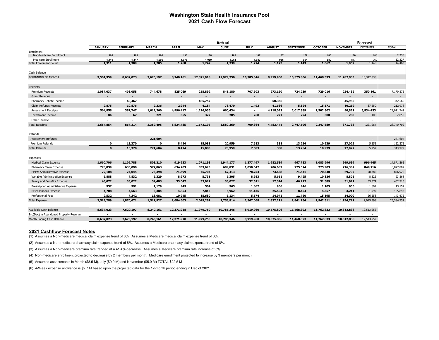#### **Washington State Health Insurance Pool 2021 Cash Flow Forecast**

|                                                             | <b>Actual</b><br>Forecast |                 |                |                          |                          |                          |                          |                          |                          |                |                 |                 |                  |
|-------------------------------------------------------------|---------------------------|-----------------|----------------|--------------------------|--------------------------|--------------------------|--------------------------|--------------------------|--------------------------|----------------|-----------------|-----------------|------------------|
|                                                             | <b>JANUARY</b>            | <b>FEBRUARY</b> | <b>MARCH</b>   | <b>APRIL</b>             | <b>MAY</b>               | <b>JUNE</b>              | JULY                     | <b>AUGUST</b>            | <b>SEPTEMBER</b>         | <b>OCTOBER</b> | <b>NOVEMBER</b> | <b>DECEMBER</b> | <b>TOTAL</b>     |
| Enrollment:                                                 |                           |                 |                |                          |                          |                          |                          |                          |                          |                |                 |                 |                  |
| Non-Medicare Enrollment                                     | 192                       | 192             | 190            | 190                      | 188                      | 188                      | 187                      | 187                      | 179                      | 180            | 180             | 183             | 2,236            |
| <b>Medicare Enrollment</b><br><b>Total Enrollment Count</b> | 1,119<br>1,311            | 1.117<br>1,309  | 1,095<br>1,285 | 1,078<br>1,268           | 1.059<br>1,247           | 1,051<br>1,239           | 1,037<br>1,224           | 986<br>1,173             | 964<br>1,143             | 882<br>1,062   | 877<br>1,057    | 962<br>1,145    | 12,227<br>14,463 |
|                                                             |                           |                 |                |                          |                          |                          |                          |                          |                          |                |                 |                 |                  |
| Cash Balance                                                |                           |                 |                |                          |                          |                          |                          |                          |                          |                |                 |                 |                  |
| <b>BEGINNING OF MONTH</b>                                   | 9,501,959                 | 8,637,023       | 7,620,197      | 8,240,161                | 12,371,918               | 11,979,750               | 10,785,346               | 8,919,960                | 10,575,806               | 11,468,393     | 11,762,833      | 10,312,838      |                  |
| Receipts                                                    |                           |                 |                |                          |                          |                          |                          |                          |                          |                |                 |                 |                  |
| <b>Premium Receipts</b>                                     | 1,087,037                 | 408,058         | 744,678        | 825,069                  | 255,892                  | 841,180                  | 707,603                  | 273,160                  | 724,289                  | 729,016        | 224,432         | 350,161         | 7,170,575        |
| <b>Grant Revenue</b>                                        |                           |                 |                |                          | $\overline{\phantom{a}}$ |                          |                          | $\overline{\phantom{a}}$ | ٠                        |                |                 | $\sim$          | $\sim$           |
| Pharmacy Rebate Income                                      | $\overline{\phantom{a}}$  | 60,467          | $\blacksquare$ | $\overline{\phantom{a}}$ | 185,757                  | $\overline{\phantom{a}}$ | $\sim$                   | 50,356                   | $\overline{\phantom{a}}$ | $\sim$         | 45,985          | $\sim$          | 342,565          |
| <b>Claim Refunds Receipts</b>                               | 2,875                     | 10,876          | 2,336          | 2,944                    | 4,184                    | 78,470                   | 1,493                    | 41,636                   | 5,124                    | 15,571         | 10,219          | 37,250          | 212,978          |
| <b>Assessment Receipts</b>                                  | 564,858                   | 387,747         | 1,612,260      | 4,996,417                | 1,226,036                | 660,434                  | $\sim$                   | 4,118,022                | 2,017,889                | 1,502,802      | 90,821          | 3,834,453       | 21,011,741       |
| <b>Investment Income</b>                                    | 84                        | 67              | 221            | 355                      | 327                      | 285                      | 268                      | 271                      | 294                      | 300            | 280             | 100             | 2,850            |
| Other Income                                                | $\overline{\phantom{a}}$  |                 | $\blacksquare$ |                          | $\blacksquare$           | $\blacksquare$           | $\overline{\phantom{a}}$ | $\overline{\phantom{a}}$ | $\sim$                   |                |                 | $\sim$          | $\sim$           |
| <b>Total Receipts</b>                                       | 1,654,854                 | 867,214         | 2,359,495      | 5,824,785                | 1,672,196                | 1,580,369                | 709,364                  | 4,483,444                | 2,747,596                | 2,247,689      | 371,738         | 4,221,964       | 28,740,709       |
| Refunds                                                     |                           |                 |                |                          |                          |                          |                          |                          |                          |                |                 |                 |                  |
| <b>Assessment Refunds</b>                                   | $\blacksquare$            |                 | 221,604        |                          | $\overline{\phantom{a}}$ |                          | $\overline{a}$           | ٠                        | ٠                        | ٠              |                 | $\sim$          | 221,604          |
| <b>Premium Refunds</b>                                      | $\mathbf 0$               | 13,370          | $\mathbf o$    | 8,424                    | 15,083                   | 20,959                   | 7,683                    | 388                      | 13,254                   | 10,939         | 27,022          | 5,252           | 122,375          |
| <b>Total Refunds</b>                                        | $\mathbf{0}$              | 13,370          | 221,604        | 8,424                    | 15,083                   | 20,959                   | 7,683                    | 388                      | 13,254                   | 10,939         | 27,022          | 5,252           | 343,979          |
| Expenses                                                    |                           |                 |                |                          |                          |                          |                          |                          |                          |                |                 |                 |                  |
| <b>Medical Claim Expense</b>                                | 1,660,706                 | 1,109,788       | 808,210        | 919,933                  | 1,071,198                | 1,944,177                | 1,377,497                | 1,982,589                | 967,783                  | 1,083,296      | 949,639         | 996,445         | 14,871,262       |
| Pharmacy Claim Expense                                      | 728,839                   | 633,090         | 577,863        | 634,203                  | 839,623                  | 689,831                  | 1,050,647                | 706,687                  | 725,524                  | 725,903        | 716,382         | 849,216         | 8,877,807        |
| PMPM Administrative Expense                                 | 72,108                    | 74,044          | 73,398         | 71,699                   | 75,704                   | 67,413                   | 78,754                   | 73,638                   | 71,641                   | 70,340         | 69,797          | 78,385          | 876,920          |
| Variable Administrative Expense                             | 6,888                     | 7,832           | 6,329          | 8,973                    | 5,731                    | 6,305                    | 8,983                    | 5,651                    | 9,425                    | 10,326         | 8,805           | 8,322           | 93,568           |
| Salary and Benefits Expense                                 | 43,072                    | 33,022          | 34,483         | 33,047                   | 33,027                   | 33,027                   | 32,611                   | 17,314                   | 46,223                   | 31,589         | 31,921          | 33,374          | 402,710          |
| Prescription Administrative Expense                         | 937                       | 991             | 1,179          | 949                      | 504                      | 965                      | 1,867                    | 956                      | 946                      | 1,105          | 956             | 1,801           | 13,157           |
| Miscellaneous Expense                                       | 4,708                     | 4,563           | 3,384          | 4,854                    | 7,813                    | 5,962                    | 11,136                   | 25,404                   | 8,454                    | 4,557          | 3,211           | 21,797          | 105,843          |
| <b>Professional Fees</b>                                    | 2,532                     | 7,342           | 13,081         | 10,945                   | 15,680                   | 6,134                    | 5,574                    | 14,971                   | 11,760                   | 15,195         | 14,000          | 26,258          | 143,472          |
| <b>Total Expense</b>                                        | 2,519,789                 | 1,870,671       | 1,517,927      | 1,684,603                | 2,049,281                | 2,753,814                | 2,567,068                | 2,827,211                | 1,841,754                | 1,942,311      | 1,794,711       | 2,015,598       | 25,384,737       |
| Available Cash Balance                                      | 8,637,023                 | 7,620,197       | 8,240,161      | 12,371,918               | 11,979,750               | 10,785,346               | 8,919,960                | 10,575,806               | 11,468,393               | 11,762,833     | 10,312,838      | 12,513,952      |                  |
| Inc(Dec) in Abandoned Property Reserve                      |                           |                 |                |                          | $\overline{a}$           |                          |                          |                          | ٠                        |                |                 |                 |                  |
| Month Ending Cash Balance                                   | 8,637,023                 | 7,620,197       | 8,240,161      | 12,371,918               | 11,979,750               | 10,785,346               | 8,919,960                | 10,575,806               | 11,468,393               | 11,762,833     | 10,312,838      | 12,513,952      |                  |
|                                                             |                           |                 |                |                          |                          |                          |                          |                          |                          |                |                 |                 |                  |

#### **2021 Cashflow Forecast Notes**

(1) Assumes a Non-medicare medical claim expense trend of 8%. Assumes a Medicare medical claim expense trend of 8%.

(2) Assumes a Non-medicare pharmacy claim expense trend of 8%. Assumes a Medicare pharmacy claim expense trend of 8%.

(3) Assumes a Non-medicare premium rate trended at a 41.4% decrease. Assumes a Medicare premium rate increase of 5%.

(4) Non-medicare enrollment projected to decrease by 2 members per month. Medicare enrollment projected to increase by 3 members per month.

(5) Assumes assessments in March (\$8.5 M), July (\$9.0 M) and November (\$5.0 M) TOTAL \$22.5 M

(6) 4-Week expense allowance is \$2.7 M based upon the projected data for the 12-month period ending in Dec of 2021.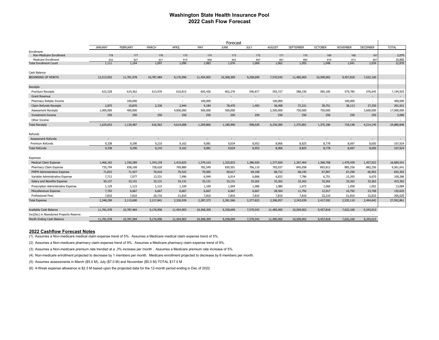#### **Washington State Health Insurance Pool 2022 Cash Flow Forecast**

|                                                             | Forecast                 |                 |              |                          |              |                          |              |                          |                          |                |                          |                 |                          |
|-------------------------------------------------------------|--------------------------|-----------------|--------------|--------------------------|--------------|--------------------------|--------------|--------------------------|--------------------------|----------------|--------------------------|-----------------|--------------------------|
|                                                             | <b>JANUARY</b>           | <b>FEBRUARY</b> | MARCH        | APRIL                    | MAY          | <b>JUNE</b>              | <b>JULY</b>  | <b>AUGUST</b>            | <b>SEPTEMBER</b>         | <b>OCTOBER</b> | <b>NOVEMBER</b>          | <b>DECEMBER</b> | <b>TOTAL</b>             |
| Enrollment:                                                 |                          |                 |              |                          |              |                          |              |                          |                          |                |                          |                 |                          |
| Non-Medicare Enrollment                                     | 178                      | 177             | 176          | 175                      | 174          | 173                      | 172          | 171                      | 170                      | 169            | 168                      | 167             | 2,070                    |
| <b>Medicare Enrollment</b><br><b>Total Enrollment Count</b> | 933<br>1,111             | 927<br>1,104    | 921<br>1,097 | 915<br>1,090             | 909<br>1,083 | 903<br>1,076             | 897<br>1,069 | 891<br>1,062             | 885<br>1,055             | 879<br>1,048   | 873<br>1,041             | 867<br>1,034    | 10,800<br>12,870         |
|                                                             |                          |                 |              |                          |              |                          |              |                          |                          |                |                          |                 |                          |
| Cash Balance                                                |                          |                 |              |                          |              |                          |              |                          |                          |                |                          |                 |                          |
| <b>BEGINNING OF MONTH</b>                                   | 12,513,952               | 11,781,978      | 10,787,484   | 9,176,996                | 11,454,903   | 10,368,309               | 9,258,699    | 7,570,543                | 11,485,065               | 10,509,002     | 9,457,818                | 7,632,160       |                          |
| Receipts                                                    |                          |                 |              |                          |              |                          |              |                          |                          |                |                          |                 |                          |
| Premium Receipts                                            | 622,528                  | 619,362         | 613,976      | 610,815                  | 605,426      | 602,270                  | 596,877      | 593,727                  | 588,330                  | 585,185        | 579,785                  | 576,645         | 7,194,925                |
| <b>Grant Revenue</b>                                        |                          |                 |              |                          |              |                          |              | $\overline{\phantom{a}}$ |                          |                |                          |                 |                          |
| Pharmacy Rebate Income                                      | $\overline{\phantom{a}}$ | 100,000         | $\sim$       | $\overline{\phantom{a}}$ | 100,000      | $\overline{\phantom{a}}$ | $\sim$       | 100,000                  | $\sim$                   | $\sim$         | 100,000                  | ٠               | 400,000                  |
| <b>Claim Refunds Receipts</b>                               | 2,875                    | 10,876          | 2,336        | 2,944                    | 4,184        | 78,470                   | 1,493        | 36,408                   | 37,221                   | 39,751         | 38,113                   | 37,250          | 291,921                  |
| <b>Assessment Receipts</b>                                  | 1,000,000                | 400,000         | $\sim$       | 4,000,000                | 500,000      | 500,000                  | $\sim$       | 5,500,000                | 750,000                  | 750,000        | $\overline{\phantom{a}}$ | 3,600,000       | 17,000,000               |
| <b>Investment Income</b>                                    | 250                      | 250             | 250          | 250                      | 250          | 250                      | 250          | 250                      | 250                      | 250            | 250                      | 250             | 3,000                    |
| Other Income                                                |                          |                 | $\sim$       |                          | $\sim$       | $\sim$                   |              | $\sim$                   | $\sim$                   | $\sim$         |                          |                 |                          |
| <b>Total Receipts</b>                                       | 1,625,653                | 1,130,487       | 616,562      | 4,614,008                | 1,209,860    | 1,180,990                | 598,620      | 6,230,385                | 1,375,801                | 1,375,186      | 718,148                  | 4,214,145       | 24,889,846               |
| Refunds                                                     |                          |                 |              |                          |              |                          |              |                          |                          |                |                          |                 |                          |
| <b>Assessment Refunds</b>                                   |                          |                 |              |                          | $\sim$       | $\overline{\phantom{a}}$ | $\sim$       |                          | $\overline{\phantom{a}}$ | $\sim$         |                          | $\blacksquare$  | $\overline{\phantom{a}}$ |
| Premium Refunds                                             | 9.338                    | 9,290           | 9.210        | 9,162                    | 9.081        | 9,034                    | 8.953        | 8.906                    | 8,825                    | 8.778          | 8,697                    | 8,650           | 107,924                  |
| <b>Total Refunds</b>                                        | 9,338                    | 9,290           | 9,210        | 9,162                    | 9,081        | 9,034                    | 8,953        | 8,906                    | 8,825                    | 8,778          | 8,697                    | 8,650           | 107,924                  |
|                                                             |                          |                 |              |                          |              |                          |              |                          |                          |                |                          |                 |                          |
| Expenses                                                    |                          |                 |              |                          |              |                          |              |                          |                          |                |                          |                 |                          |
| Medical Claim Expense                                       | 1,466,102                | 1,330,289       | 1,343,159    | 1,415,825                | 1,379,163    | 1,325,833                | 1,386,920    | 1,377,659                | 1,367,464                | 1,368,768      | 1,470,439                | 1,457,922       | 16,689,541               |
| Pharmacy Claim Expense                                      | 735,794                  | 658,168         | 728,620      | 769,880                  | 782,549      | 830,501                  | 766,110      | 783,037                  | 845,658                  | 893,812        | 885,256                  | 882,256         | 9,561,641                |
| PMPM Administrative Expense                                 | 71,815                   | 71,427          | 70,910       | 70,522                   | 70,005       | 69,617                   | 69,100       | 68,712                   | 68,195                   | 67,807         | 67,290                   | 66,902          | 832,302                  |
| Variable Administrative Expense                             | 7,712                    | 7,077           | 13,531       | 7,996                    | 6,949        | 6,914                    | 6,868        | 6,833                    | 7,786                    | 6,751          | 15,205                   | 6,670           | 100,286                  |
| Salary and Benefits Expense                                 | 50,137                   | 33,131          | 33,131       | 33,131                   | 33,131       | 33,131                   | 33,262       | 33,262                   | 33,262                   | 33,262         | 33,262                   | 33,262          | 415,362                  |
| Prescription Administrative Expense                         | 1,129                    | 1,123           | 1,115        | 1,109                    | 1,100        | 1,094                    | 1,086        | 1,080                    | 1,072                    | 1,066          | 1,058                    | 1,052           | 13,084                   |
| Miscellaneous Expense                                       | 7,792                    | 6,667           | 6,667        | 6,667                    | 6,667        | 6,667                    | 6,667        | 28,564                   | 11,792                   | 12,917         | 10,792                   | 23,769          | 135,625                  |
| <b>Professional Fees</b>                                    | 7,810                    | 7,810           | 20,710       | 21,810                   | 7,810        | 7,810                    | 7,810        | 7,810                    | 7,810                    | 33,210         | 51,810                   | 22,810          | 205,020                  |
| <b>Total Expense</b>                                        | 2,348,290                | 2,115,690       | 2,217,841    | 2,326,939                | 2,287,373    | 2,281,566                | 2,277,823    | 2,306,957                | 2,343,039                | 2,417,592      | 2,535,110                | 2,494,642       | 27,952,861               |
|                                                             |                          |                 |              |                          |              |                          |              |                          |                          |                |                          |                 |                          |
| Available Cash Balance                                      | 11,781,978               | 10,787,484      | 9,176,996    | 11,454,903               | 10,368,309   | 9,258,699                | 7,570,543    | 11,485,065               | 10,509,002               | 9,457,818      | 7,632,160                | 9,343,013       |                          |
| Inc(Dec) in Abandoned Property Reserve                      |                          |                 |              |                          | $\sim$       | $\overline{\phantom{a}}$ | $\sim$       | $\overline{\phantom{a}}$ | $\overline{\phantom{a}}$ | $\sim$         |                          | $\sim$          |                          |
| Month Ending Cash Balance                                   | 11,781,978               | 10,787,484      | 9,176,996    | 11,454,903               | 10,368,309   | 9,258,699                | 7,570,543    | 11,485,065               | 10,509,002               | 9,457,818      | 7,632,160                | 9,343,013       |                          |

#### **2022 Cashflow Forecast Notes**

(1) Assumes a Non-medicare medical claim expense trend of 5%. Assumes a Medicare medical claim expense trend of 5%.

(2) Assumes a Non-medicare pharmacy claim expense trend of 9%. Assumes a Medicare pharmacy claim expense trend of 9%.

(3) Assumes a Non-medicare premium rate trended at a .3% increase per month . Assumes a Medicare premium rate increase of 5%.

(4) Non-medicare enrollment projected to decrease by 1 members per month. Medicare enrollment projected to decrease by 6 members per month.

(5) Assumes assessments in March (\$5.0 M), July (\$7.0 M) and November (\$5.0 M) TOTAL \$17.0 M

(6) 4-Week expense allowance is \$2.3 M based upon the projected data for the 12-month period ending in Dec of 2022.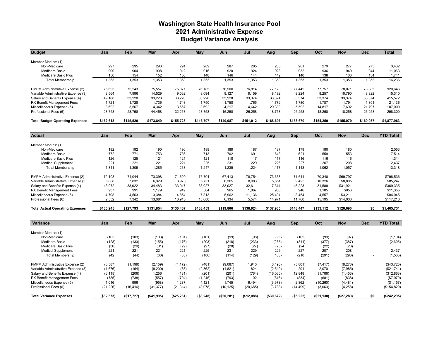#### **Washington State Health Insurance Pool 2021 Administrative Expense Budget Variance Analysis**

| <b>Budget</b>                                       | Jan          | Feb        | Mar         | Apr        | May        | Jun        | Jul        | Aua          | Sep        | Oct          | Nov        | <b>Dec</b>               | <b>Total</b>     |
|-----------------------------------------------------|--------------|------------|-------------|------------|------------|------------|------------|--------------|------------|--------------|------------|--------------------------|------------------|
|                                                     |              |            |             |            |            |            |            |              |            |              |            |                          |                  |
| Member Months: (1)                                  |              |            |             |            |            |            |            |              |            |              |            |                          |                  |
| Non-Medicare                                        | 297<br>900   | 295<br>904 | 293<br>908  | 291<br>912 | 289<br>916 | 287<br>920 | 285<br>924 | 283<br>928   | 281<br>932 | 279<br>936   | 277<br>940 | 275<br>944               | 3,432<br>11,063  |
| <b>Medicare Basic</b><br><b>Medicare Basic Plus</b> | 156          | 154        | 152         | 150        | 148        | 146        | 144        | 142          | 140        | 138          | 136        | 134                      | 1,741            |
| <b>Total Membership</b>                             | 1,353        | 1.353      | 1.353       | 1,353      | 1,353      | 1.353      | 1,353      | 1.353        | 1,353      | 1.353        | 1,353      | 1,353                    | 16,236           |
|                                                     |              |            |             |            |            |            |            |              |            |              |            |                          |                  |
| PMPM Administrative Expense (2)                     | 75,695       | 75,243     | 75,557      | 75,871     | 76,185     | 76,500     | 76,814     | 77,128       | 77,442     | 77,757       | 78,071     | 78,385                   | 920,646          |
| Variable Administrative Expense (3)                 | 8,564        | 7,996      | 14,529      | 9,062      | 8.094      | 8,127      | 8.159      | 8.192        | 9.224      | 8.257        | 16,790     | 8.322                    | 115,310          |
| Salary and Benefits Expense (4)                     | 49,188       | 33,228     | 33,228      | 33,228     | 33,228     | 33,228     | 33,374     | 33,374       | 33,374     | 33,374       | 33,374     | 33,374                   | 415,572          |
| RX Benefit Management Fees                          | 1,721        | 1,728      | 1,736       | 1,743      | 1,750      | 1,758      | 1,765      | 1,772        | 1,780      | 1,787        | 1,794      | 1,801                    | 21,136           |
| Miscellaneous Expense (5)                           | 3.692        | 3,567      | 4,342       | 3,567      | 3,692      | 4,217      | 4,642      | 29,383       | 5,592      | 14,817       | 7,692      | 21.797                   | 107,000          |
| Professional Fees (6)                               | 23,758       | 23,758     | 44,458      | 32,258     | 23,758     | 16,258     | 26,258     | 18,758       | 26,258     | 18,258       | 18,258     | 26,258                   | 298,300          |
| <b>Total Budget Operating Expenses</b>              | \$162,618    | \$145,520  | \$173,849   | \$155,728  | \$146,707  | \$140,087  | \$151,012  | \$168,607    | \$153,670  | \$154,250    | \$155,979  | \$169,937                | \$1,877,963      |
|                                                     |              |            |             |            |            |            |            |              |            |              |            |                          |                  |
| <b>Actual</b>                                       | Jan          | Feb        | Mar         | Apr        | May        | Jun        | Jul        | Aug          | Sep        | Oct          | Nov        | <b>Dec</b>               | <b>YTD Total</b> |
|                                                     |              |            |             |            |            |            |            |              |            |              |            |                          |                  |
| Member Months: (1)                                  | 192          | 192        | 190         | 190        | 188        | 188        | 187        | 187          | 179        | 180          | 180        |                          | 2,053            |
| Non-Medicare<br><b>Medicare Basic</b>               | 772          | 771        | 753         | 736        | 713        | 702        | 691        | 643          | 621        | 559          | 553        |                          | 7,514            |
| <b>Medicare Basic Plus</b>                          | 126          | 125        | 121         | 121        | 121        | 118        | 117        | 117          | 116        | 116          | 116        |                          | 1,314            |
| <b>Medical Supplement</b>                           | 221          | 221        | 221         | 221        | 225        | 231        | 229        | 226          | 227        | 207          | 208        |                          | 2,437            |
| <b>Total Membership</b>                             | 1,311        | 1.309      | 1.285       | 1.268      | 1.247      | 1.239      | 1.224      | 1.173        | 1.143      | 1.062        | 1.057      | $\overline{\phantom{a}}$ | 13.318           |
|                                                     |              |            |             |            |            |            |            |              |            |              |            |                          |                  |
| PMPM Administrative Expense (2)                     | 72,108       | 74,044     | 73,398      | 71,699     | 75,704     | 67,413     | 78,754     | 73,638       | 71,641     | 70,340       | \$69,797   |                          | \$798,536        |
| Variable Administrative Expense (3)                 | 6.888        | 7,832      | 6,329       | 8.973      | 5.731      | 6,305      | 8,983      | 5,651        | 9,425      | 10,326       | \$8,805    |                          | \$85.247         |
| Salary and Benefits Expense (4)                     | 43,072       | 33,022     | 34,483      | 33,047     | 33,027     | 33,027     | 32,611     | 17,314       | 46,223     | 31,589       | \$31,921   |                          | \$369,335        |
| RX Benefit Management Fees                          | 937          | 991        | 1,179       | 949        | 504        | 965        | 1,867      | 956          | 946        | 1,105        | \$956      |                          | \$11,355         |
| Miscellaneous Expense (5)                           | 4,708        | 4,563      | 3,384       | 4,854      | 7.813      | 5,962      | 11,136     | 25,404       | 8.454      | 4,557        | \$3,211    |                          | \$84,045         |
| Professional Fees (6)                               | 2,532        | 7,342      | 13,081      | 10,945     | 15,680     | 6,134      | 5,574      | 14,971       | 11,760     | 15,195       | \$14,000   |                          | \$117,213        |
| <b>Total Actual Operating Expenses</b>              | \$130.245    | \$127,793  | \$131.854   | \$130.467  | \$138,459  | \$119,806  | \$138,924  | \$137.935    | \$148.447  | \$133,112    | \$128,690  | \$0                      | \$1,465,731      |
|                                                     |              |            |             |            |            |            |            |              |            |              |            |                          |                  |
| <b>Variance</b>                                     | Jan          | Feb        | Mar         | Apr        | May        | Jun        | Jul        | Aug          | Sep        | Oct          | <b>Nov</b> | <b>Dec</b>               | <b>YTD Total</b> |
|                                                     |              |            |             |            |            |            |            |              |            |              |            |                          |                  |
| Member Months: (1)                                  |              |            |             |            |            |            |            |              |            |              |            |                          |                  |
| Non-Medicare                                        | (105)        | (103)      | (103)       | (101)      | (101)      | (99)       | (98)       | (96)         | (102)      | (99)         | (97)       |                          | (1, 104)         |
| <b>Medicare Basic</b>                               | (128)        | (133)      | (155)       | (176)      | (203)      | (218)      | (233)      | (285)        | (311)      | (377)        | (387)      |                          | (2,605)          |
| <b>Medicare Basic Plus</b>                          | (30)         | (29)       | (31)        | (29)       | (27)       | (28)       | (27)       | (25)         | (24)       | (22)         | (20)       |                          |                  |
| <b>Medical Supplement</b>                           | 221          | 221        | 221         | 221        | 225        | 231        | 229        | 226          | 227        | 207          | 208        |                          | 2,437            |
| <b>Total Membership</b>                             | (42)         | (44)       | (68)        | (85)       | (106)      | (114)      | (129)      | (180)        | (210)      | (291)        | (296)      | $\sim$                   | (1, 565)         |
| PMPM Administrative Expense (2)                     | (3,587)      | (1, 199)   | (2, 159)    | (4, 172)   | (481)      | (9,087)    | 1,940      | (3,490)      | (5,801)    | (7, 417)     | (8,273)    |                          | (\$43,725)       |
| Variable Administrative Expense (3)                 | (1,676)      | (164)      | (8,200)     | (88)       | (2, 362)   | (1,821)    | 824        | (2,540)      | 201        | 2.070        | (7,985)    |                          | (\$21,741)       |
| Salary and Benefits Expense (4)                     | (6, 115)     | (206)      | 1,256       | (181)      | (201)      | (201)      | (764)      | (16,060)     | 12,848     | (1,786)      | (1, 453)   |                          | (\$12,863)       |
| RX Benefit Management Fees                          | (785)        | (738)      | (557)       | (794)      | (1,246)    | (793)      | 102        | (816)        | (834)      | (681)        | (838)      |                          | (\$7,979)        |
| Miscellaneous Expense (5)                           | 1,016        | 996        | (958)       | 1,287      | 4,121      | 1,745      | 6,494      | (3,978)      | 2,862      | (10, 260)    | (4, 481)   |                          | (\$1,157)        |
| Professional Fees (6)                               | (21, 226)    | (16, 416)  | (31, 377)   | (21, 314)  | (8,078)    | (10, 125)  | (20, 685)  | (3,788)      | (14, 499)  | (3,063)      | (4, 258)   |                          | (\$154,829)      |
|                                                     |              |            |             |            |            |            |            |              |            |              |            |                          |                  |
| <b>Total Variance Expenses</b>                      | ( \$32, 373) | (\$17,727) | ( \$41,995) | (\$25,261) | (\$8,248)  | (\$20,281) | (\$12,088) | ( \$30, 672) | ( \$5,222) | ( \$21, 138) | (\$27,289) | \$0                      | (\$242, 295)     |